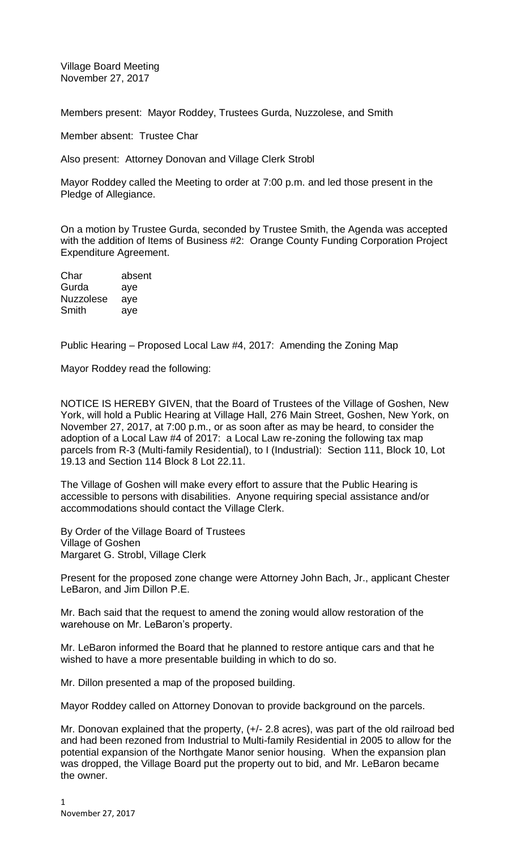Village Board Meeting November 27, 2017

Members present: Mayor Roddey, Trustees Gurda, Nuzzolese, and Smith

Member absent: Trustee Char

Also present: Attorney Donovan and Village Clerk Strobl

Mayor Roddey called the Meeting to order at 7:00 p.m. and led those present in the Pledge of Allegiance.

On a motion by Trustee Gurda, seconded by Trustee Smith, the Agenda was accepted with the addition of Items of Business #2: Orange County Funding Corporation Project Expenditure Agreement.

| Char             | absent |
|------------------|--------|
| Gurda            | aye    |
| <b>Nuzzolese</b> | aye    |
| Smith            | aye    |

Public Hearing – Proposed Local Law #4, 2017: Amending the Zoning Map

Mayor Roddey read the following:

NOTICE IS HEREBY GIVEN, that the Board of Trustees of the Village of Goshen, New York, will hold a Public Hearing at Village Hall, 276 Main Street, Goshen, New York, on November 27, 2017, at 7:00 p.m., or as soon after as may be heard, to consider the adoption of a Local Law #4 of 2017: a Local Law re-zoning the following tax map parcels from R-3 (Multi-family Residential), to I (Industrial): Section 111, Block 10, Lot 19.13 and Section 114 Block 8 Lot 22.11.

The Village of Goshen will make every effort to assure that the Public Hearing is accessible to persons with disabilities. Anyone requiring special assistance and/or accommodations should contact the Village Clerk.

By Order of the Village Board of Trustees Village of Goshen Margaret G. Strobl, Village Clerk

Present for the proposed zone change were Attorney John Bach, Jr., applicant Chester LeBaron, and Jim Dillon P.E.

Mr. Bach said that the request to amend the zoning would allow restoration of the warehouse on Mr. LeBaron's property.

Mr. LeBaron informed the Board that he planned to restore antique cars and that he wished to have a more presentable building in which to do so.

Mr. Dillon presented a map of the proposed building.

Mayor Roddey called on Attorney Donovan to provide background on the parcels.

Mr. Donovan explained that the property,  $(+/- 2.8 \text{ acres})$ , was part of the old railroad bed and had been rezoned from Industrial to Multi-family Residential in 2005 to allow for the potential expansion of the Northgate Manor senior housing. When the expansion plan was dropped, the Village Board put the property out to bid, and Mr. LeBaron became the owner.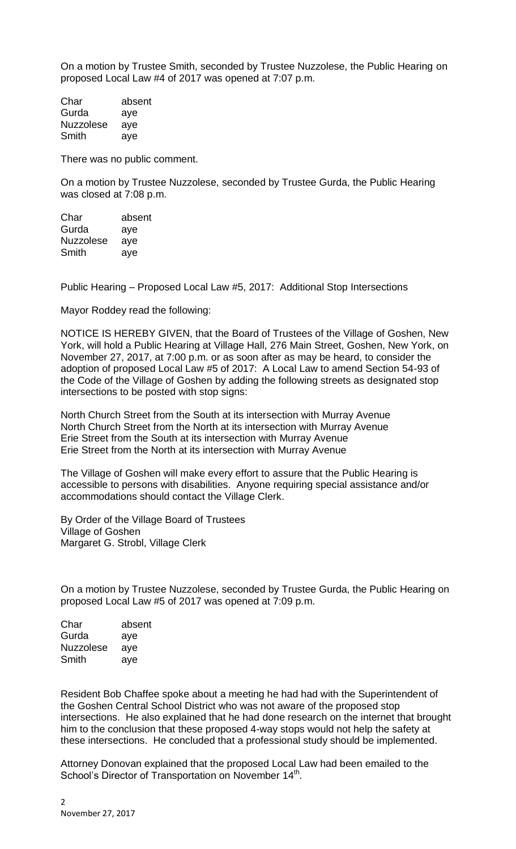On a motion by Trustee Smith, seconded by Trustee Nuzzolese, the Public Hearing on proposed Local Law #4 of 2017 was opened at 7:07 p.m.

Char absent Gurda aye Nuzzolese aye Smith aye

There was no public comment.

On a motion by Trustee Nuzzolese, seconded by Trustee Gurda, the Public Hearing was closed at 7:08 p.m.

Char absent Gurda aye Nuzzolese aye Smith aye

Public Hearing – Proposed Local Law #5, 2017: Additional Stop Intersections

Mayor Roddey read the following:

NOTICE IS HEREBY GIVEN, that the Board of Trustees of the Village of Goshen, New York, will hold a Public Hearing at Village Hall, 276 Main Street, Goshen, New York, on November 27, 2017, at 7:00 p.m. or as soon after as may be heard, to consider the adoption of proposed Local Law #5 of 2017: A Local Law to amend Section 54-93 of the Code of the Village of Goshen by adding the following streets as designated stop intersections to be posted with stop signs:

North Church Street from the South at its intersection with Murray Avenue North Church Street from the North at its intersection with Murray Avenue Erie Street from the South at its intersection with Murray Avenue Erie Street from the North at its intersection with Murray Avenue

The Village of Goshen will make every effort to assure that the Public Hearing is accessible to persons with disabilities. Anyone requiring special assistance and/or accommodations should contact the Village Clerk.

By Order of the Village Board of Trustees Village of Goshen Margaret G. Strobl, Village Clerk

On a motion by Trustee Nuzzolese, seconded by Trustee Gurda, the Public Hearing on proposed Local Law #5 of 2017 was opened at 7:09 p.m.

| absent |
|--------|
| aye    |
| aye    |
| aye    |
|        |

Resident Bob Chaffee spoke about a meeting he had had with the Superintendent of the Goshen Central School District who was not aware of the proposed stop intersections. He also explained that he had done research on the internet that brought him to the conclusion that these proposed 4-way stops would not help the safety at these intersections. He concluded that a professional study should be implemented.

Attorney Donovan explained that the proposed Local Law had been emailed to the School's Director of Transportation on November 14<sup>th</sup>.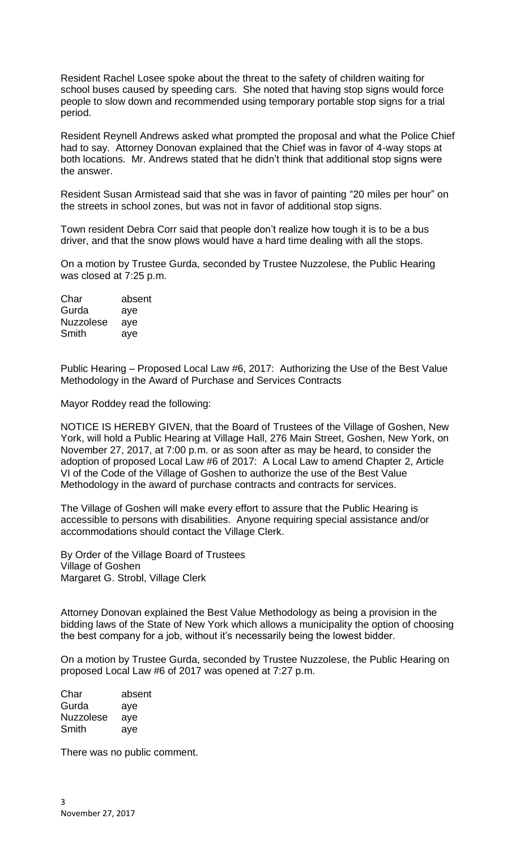Resident Rachel Losee spoke about the threat to the safety of children waiting for school buses caused by speeding cars. She noted that having stop signs would force people to slow down and recommended using temporary portable stop signs for a trial period.

Resident Reynell Andrews asked what prompted the proposal and what the Police Chief had to say. Attorney Donovan explained that the Chief was in favor of 4-way stops at both locations. Mr. Andrews stated that he didn't think that additional stop signs were the answer.

Resident Susan Armistead said that she was in favor of painting "20 miles per hour" on the streets in school zones, but was not in favor of additional stop signs.

Town resident Debra Corr said that people don't realize how tough it is to be a bus driver, and that the snow plows would have a hard time dealing with all the stops.

On a motion by Trustee Gurda, seconded by Trustee Nuzzolese, the Public Hearing was closed at 7:25 p.m.

| Char             | absent |
|------------------|--------|
| Gurda            | aye    |
| <b>Nuzzolese</b> | aye    |
| Smith            | aye    |

Public Hearing – Proposed Local Law #6, 2017: Authorizing the Use of the Best Value Methodology in the Award of Purchase and Services Contracts

Mayor Roddey read the following:

NOTICE IS HEREBY GIVEN, that the Board of Trustees of the Village of Goshen, New York, will hold a Public Hearing at Village Hall, 276 Main Street, Goshen, New York, on November 27, 2017, at 7:00 p.m. or as soon after as may be heard, to consider the adoption of proposed Local Law #6 of 2017: A Local Law to amend Chapter 2, Article VI of the Code of the Village of Goshen to authorize the use of the Best Value Methodology in the award of purchase contracts and contracts for services.

The Village of Goshen will make every effort to assure that the Public Hearing is accessible to persons with disabilities. Anyone requiring special assistance and/or accommodations should contact the Village Clerk.

By Order of the Village Board of Trustees Village of Goshen Margaret G. Strobl, Village Clerk

Attorney Donovan explained the Best Value Methodology as being a provision in the bidding laws of the State of New York which allows a municipality the option of choosing the best company for a job, without it's necessarily being the lowest bidder.

On a motion by Trustee Gurda, seconded by Trustee Nuzzolese, the Public Hearing on proposed Local Law #6 of 2017 was opened at 7:27 p.m.

| Char             | absent |
|------------------|--------|
| Gurda            | aye    |
| <b>Nuzzolese</b> | aye    |
| Smith            | aye    |

There was no public comment.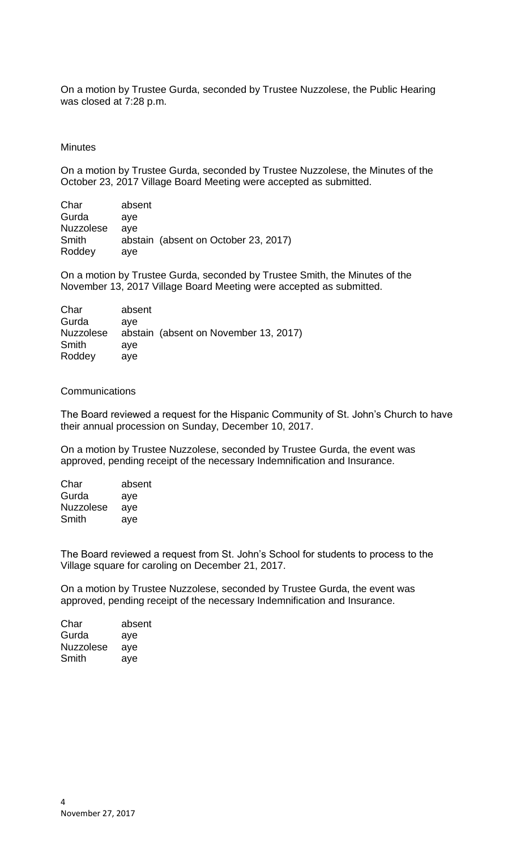On a motion by Trustee Gurda, seconded by Trustee Nuzzolese, the Public Hearing was closed at 7:28 p.m.

## **Minutes**

On a motion by Trustee Gurda, seconded by Trustee Nuzzolese, the Minutes of the October 23, 2017 Village Board Meeting were accepted as submitted.

| Char             | absent                               |
|------------------|--------------------------------------|
| Gurda            | ave                                  |
| <b>Nuzzolese</b> | ave                                  |
| Smith            | abstain (absent on October 23, 2017) |
| Roddey           | ave                                  |

On a motion by Trustee Gurda, seconded by Trustee Smith, the Minutes of the November 13, 2017 Village Board Meeting were accepted as submitted.

| absent |                                       |
|--------|---------------------------------------|
| ave    |                                       |
|        | abstain (absent on November 13, 2017) |
| ave    |                                       |
| ave    |                                       |
|        |                                       |

## Communications

The Board reviewed a request for the Hispanic Community of St. John's Church to have their annual procession on Sunday, December 10, 2017.

On a motion by Trustee Nuzzolese, seconded by Trustee Gurda, the event was approved, pending receipt of the necessary Indemnification and Insurance.

| Char             | absent |
|------------------|--------|
| Gurda            | aye    |
| <b>Nuzzolese</b> | aye    |
| Smith            | aye    |

The Board reviewed a request from St. John's School for students to process to the Village square for caroling on December 21, 2017.

On a motion by Trustee Nuzzolese, seconded by Trustee Gurda, the event was approved, pending receipt of the necessary Indemnification and Insurance.

| Char             | absent |
|------------------|--------|
| Gurda            | aye    |
| <b>Nuzzolese</b> | aye    |
| Smith            | aye    |